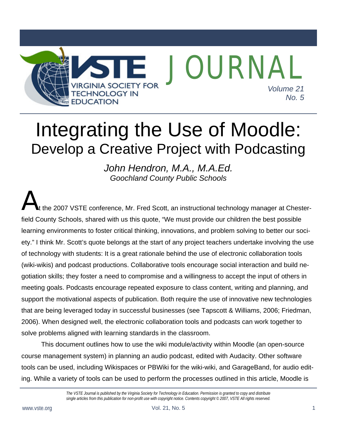

# Integrating the Use of Moodle: Develop a Creative Project with Podcasting

*John Hendron, M.A., M.A.Ed. Goochland County Public Schools* 

the 2007 VSTE conference, Mr. Fred Scott, an instructional technology manager at Chesterfield County Schools, shared with us this quote, "We must provide our children the best possible learning environments to foster critical thinking, innovations, and problem solving to better our society." I think Mr. Scott's quote belongs at the start of any project teachers undertake involving the use of technology with students: It is a great rationale behind the use of electronic collaboration tools (wiki-wikis) and podcast productions. Collaborative tools encourage social interaction and build negotiation skills; they foster a need to compromise and a willingness to accept the input of others in meeting goals. Podcasts encourage repeated exposure to class content, writing and planning, and support the motivational aspects of publication. Both require the use of innovative new technologies that are being leveraged today in successful businesses (see Tapscott & Williams, 2006; Friedman, 2006). When designed well, the electronic collaboration tools and podcasts can work together to solve problems aligned with learning standards in the classroom.  $A_{\tiny{\text{the}}}$ 

 This document outlines how to use the wiki module/activity within Moodle (an open-source course management system) in planning an audio podcast, edited with Audacity. Other software tools can be used, including Wikispaces or PBWiki for the wiki-wiki, and GarageBand, for audio editing. While a variety of tools can be used to perform the processes outlined in this article, Moodle is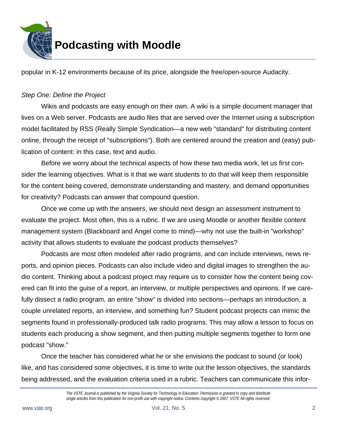

popular in K-12 environments because of its price, alongside the free/open-source Audacity.

#### *Step One: Define the Project*

 Wikis and podcasts are easy enough on their own. A wiki is a simple document manager that lives on a Web server. Podcasts are audio files that are served over the Internet using a subscription model facilitated by RSS (Really Simple Syndication—a new web "standard" for distributing content online, through the receipt of "subscriptions"). Both are centered around the creation and (easy) publication of content: in this case, text and audio.

 Before we worry about the technical aspects of how these two media work, let us first consider the learning objectives. What is it that we want students to do that will keep them responsible for the content being covered, demonstrate understanding and mastery, and demand opportunities for creativity? Podcasts can answer that compound question.

 Once we come up with the answers, we should next design an assessment instrument to evaluate the project. Most often, this is a rubric. If we are using Moodle or another flexible content management system (Blackboard and Angel come to mind)—why not use the built-in "workshop" activity that allows students to evaluate the podcast products themselves?

 Podcasts are most often modeled after radio programs, and can include interviews, news reports, and opinion pieces. Podcasts can also include video and digital images to strengthen the audio content. Thinking about a podcast project may require us to consider how the content being covered can fit into the guise of a report, an interview, or multiple perspectives and opinions. If we carefully dissect a radio program, an entire "show" is divided into sections—perhaps an introduction, a couple unrelated reports, an interview, and something fun? Student podcast projects can mimic the segments found in professionally-produced talk radio programs. This may allow a lesson to focus on students each producing a show segment, and then putting multiple segments together to form one podcast "show."

 Once the teacher has considered what he or she envisions the podcast to sound (or look) like, and has considered some objectives, it is time to write out the lesson objectives, the standards being addressed, and the evaluation criteria used in a rubric. Teachers can communicate this infor-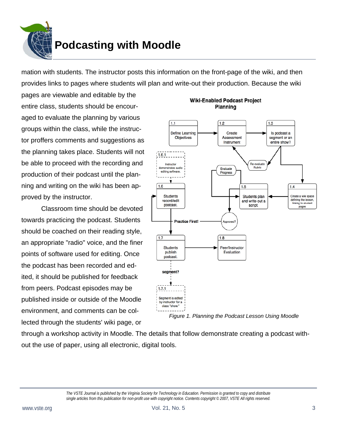

mation with students. The instructor posts this information on the front-page of the wiki, and then provides links to pages where students will plan and write-out their production. Because the wiki

pages are viewable and editable by the entire class, students should be encouraged to evaluate the planning by various groups within the class, while the instructor proffers comments and suggestions as the planning takes place. Students will not be able to proceed with the recording and production of their podcast until the planning and writing on the wiki has been approved by the instructor.

 Classroom time should be devoted towards practicing the podcast. Students should be coached on their reading style, an appropriate "radio" voice, and the finer points of software used for editing. Once the podcast has been recorded and edited, it should be published for feedback from peers. Podcast episodes may be published inside or outside of the Moodle environment, and comments can be collected through the students' wiki page, or



**Wiki-Enabled Podcast Project** Planning

*Figure 1. Planning the Podcast Lesson Using Moodle* 

through a workshop activity in Moodle. The details that follow demonstrate creating a podcast without the use of paper, using all electronic, digital tools.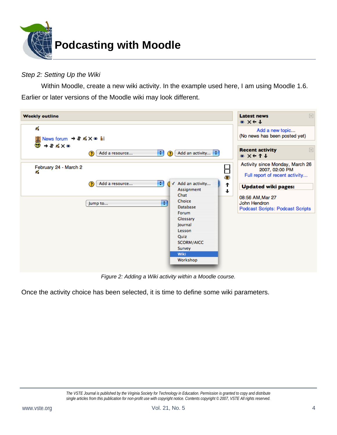

#### *Step 2: Setting Up the Wiki*

 Within Moodle, create a new wiki activity. In the example used here, I am using Moodle 1.6. Earlier or later versions of the Moodle wiki may look different.

| <b>Weekly outline</b>       |                                                          |                                                                                                                                                                                   | $\Box$<br><b>Latest news</b><br>$* x \leftarrow \downarrow$                                                                                                                                                   |
|-----------------------------|----------------------------------------------------------|-----------------------------------------------------------------------------------------------------------------------------------------------------------------------------------|---------------------------------------------------------------------------------------------------------------------------------------------------------------------------------------------------------------|
| ≤                           |                                                          |                                                                                                                                                                                   | Add a new topic<br>(No news has been posted yet)                                                                                                                                                              |
|                             | Add a resource<br>?                                      | $\left  \cdot \right $<br>Add an activity $\left  \cdot \right $<br>$\odot$                                                                                                       | $\Box$<br><b>Recent activity</b><br>* X← 1 ↓                                                                                                                                                                  |
| February 24 - March 2<br>Æ. | $\left  \cdot \right $<br>Add a resource<br>?<br>Jump to | Add an activity<br>J<br>Assignment<br>Chat<br>Choice<br>÷<br><b>Database</b><br>Forum<br>Glossary<br>Journal<br>Lesson<br>Quiz<br><b>SCORM/AICC</b><br>Survey<br>Wiki<br>Workshop | Activity since Monday, March 26<br>Н<br>2007, 02:00 PM<br>Full report of recent activity<br>۵<br>↑<br><b>Updated wiki pages:</b><br>♦<br>08:56 AM, Mar 27<br>John Hendron<br>Podcast Scripts: Podcast Scripts |

*Figure 2: Adding a Wiki activity within a Moodle course.* 

Once the activity choice has been selected, it is time to define some wiki parameters.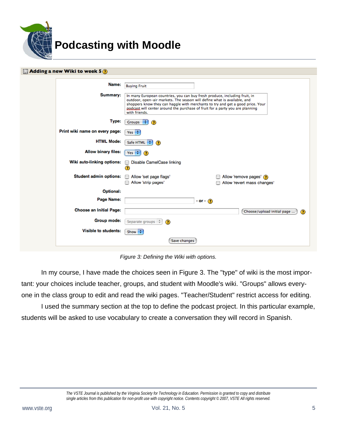

| $\frac{11}{201}$ Adding a new Wiki to week 5 $\odot$ |                                                                                                                                                                                                                                                                                                                                                                   |
|------------------------------------------------------|-------------------------------------------------------------------------------------------------------------------------------------------------------------------------------------------------------------------------------------------------------------------------------------------------------------------------------------------------------------------|
| Name:<br>Summary:                                    | <b>Buying Fruit</b><br>In many European countries, you can buy fresh produce, including fruit, in<br>outdoor, open-air markets. The season will define what is available, and<br>shoppers know they can haggle with merchants to try and get a good price. Your<br>podcast will center around the purchase of fruit for a party you are planning<br>with friends. |
| Type:                                                | ٠<br><b>Groups</b><br>$\circ$                                                                                                                                                                                                                                                                                                                                     |
| Print wiki name on every page:                       | Yes $\div$                                                                                                                                                                                                                                                                                                                                                        |
| <b>HTML Mode:</b>                                    | Safe HTML<br>÷<br>⊙                                                                                                                                                                                                                                                                                                                                               |
| <b>Allow binary files:</b>                           | Yes $\div$<br>$\circ$                                                                                                                                                                                                                                                                                                                                             |
| Wiki auto-linking options:                           | Disable CamelCase linking<br>ø                                                                                                                                                                                                                                                                                                                                    |
| <b>Student admin options:</b>                        | Allow 'remove pages' ?<br>Allow 'set page flags'<br>Allow 'strip pages'<br>Allow 'revert mass changes'                                                                                                                                                                                                                                                            |
| Optional:                                            |                                                                                                                                                                                                                                                                                                                                                                   |
| Page Name:                                           | - or - $\circledcirc$                                                                                                                                                                                                                                                                                                                                             |
| <b>Choose an Initial Page:</b>                       | Choose/upload initial page<br>⊙                                                                                                                                                                                                                                                                                                                                   |
| <b>Group mode:</b>                                   | Separate groups $\frac{4}{7}$<br>$\odot$                                                                                                                                                                                                                                                                                                                          |
| Visible to students:                                 | Show<br>÷                                                                                                                                                                                                                                                                                                                                                         |
|                                                      | Save changes                                                                                                                                                                                                                                                                                                                                                      |

*Figure 3: Defining the Wiki with options.* 

 In my course, I have made the choices seen in Figure 3. The "type" of wiki is the most important: your choices include teacher, groups, and student with Moodle's wiki. "Groups" allows everyone in the class group to edit and read the wiki pages. "Teacher/Student" restrict access for editing.

 I used the summary section at the top to define the podcast project. In this particular example, students will be asked to use vocabulary to create a conversation they will record in Spanish.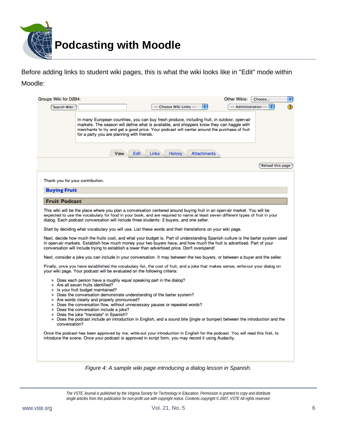

Before adding links to student wiki pages, this is what the wiki looks like in "Edit" mode within Moodle:

| Groups Wiki for D2B4:<br>Search Wiki: |                                                                                    |                                                                           | -- Choose Wiki Links --                                                                                                                                                                                     | ÷                  | Other Wikis:<br>-- Administration --                                                                                                                                                                                                                                                      | Choose<br>÷      |
|---------------------------------------|------------------------------------------------------------------------------------|---------------------------------------------------------------------------|-------------------------------------------------------------------------------------------------------------------------------------------------------------------------------------------------------------|--------------------|-------------------------------------------------------------------------------------------------------------------------------------------------------------------------------------------------------------------------------------------------------------------------------------------|------------------|
|                                       |                                                                                    | for a party you are planning with friends.                                |                                                                                                                                                                                                             |                    | In many European countries, you can buy fresh produce, including fruit, in outdoor, open-air<br>markets. The season will define what is available, and shoppers know they can haggle with<br>merchants to try and get a good price. Your podcast will center around the purchase of fruit |                  |
|                                       |                                                                                    | Edit<br><b>View</b>                                                       | <b>Links</b><br><b>History</b>                                                                                                                                                                              | <b>Attachments</b> |                                                                                                                                                                                                                                                                                           |                  |
|                                       |                                                                                    |                                                                           |                                                                                                                                                                                                             |                    |                                                                                                                                                                                                                                                                                           | Reload this page |
| Thank you for your contribution.      |                                                                                    |                                                                           |                                                                                                                                                                                                             |                    |                                                                                                                                                                                                                                                                                           |                  |
| <b>Buying Fruit</b>                   |                                                                                    |                                                                           |                                                                                                                                                                                                             |                    |                                                                                                                                                                                                                                                                                           |                  |
| <b>Fruit Podcast</b>                  |                                                                                    |                                                                           |                                                                                                                                                                                                             |                    |                                                                                                                                                                                                                                                                                           |                  |
|                                       |                                                                                    |                                                                           | Start by deciding what vocabulary you will use. List these words and their translations on your wiki page.<br>conversation will include trying to establish a lower than advertised price. Don't overspend! |                    | Next, decide how much the fruits cost, and what your budget is. Part of understanding Spanish culture is the barter system used<br>in open-air markets. Establish how much money your two buyers have, and how much the fruit is advertised. Part of your                                 |                  |
|                                       |                                                                                    | your wiki page. Your podcast will be evaluated on the following criteria: |                                                                                                                                                                                                             |                    | Next, consider a joke you can include in your conversation. It may between the two buyers, or between a buyer and the seller.<br>Finally, once you have established the vocabulary list, the cost of fruit, and a joke that makes sense, write-out your dialog on                         |                  |
|                                       | o Are all seven fruits identified?<br>o Is your fruit budget maintained?           |                                                                           | • Does each person have a roughly equal speaking part in the dialog?                                                                                                                                        |                    |                                                                                                                                                                                                                                                                                           |                  |
|                                       | o Are words clearly and properly pronounced?                                       |                                                                           | o Does the conversation demonstrate understanding of the barter system?                                                                                                                                     |                    |                                                                                                                                                                                                                                                                                           |                  |
|                                       | · Does the conversation include a joke?<br>o Does the joke "translate" in Spanish? |                                                                           | o Does the conversation flow, without unnecessary pauses or repeated words?                                                                                                                                 |                    |                                                                                                                                                                                                                                                                                           |                  |
| conversation?                         |                                                                                    |                                                                           |                                                                                                                                                                                                             |                    | • Does the podcast include an introduction in English, and a sound bite (jingle or bumper) between the introduction and the                                                                                                                                                               |                  |
|                                       |                                                                                    |                                                                           | introduce the scene. Once your podcast is approved in script form, you may record it using Audacity.                                                                                                        |                    | Once the podcast has been approved by me, write-out your introduction in English for the podcast. You will read this first, to                                                                                                                                                            |                  |
|                                       |                                                                                    |                                                                           |                                                                                                                                                                                                             |                    |                                                                                                                                                                                                                                                                                           |                  |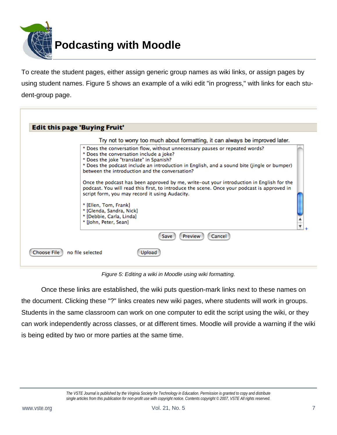

To create the student pages, either assign generic group names as wiki links, or assign pages by using student names. Figure 5 shows an example of a wiki edit "in progress," with links for each student-group page.

| Try not to worry too much about formatting, it can always be improved later.                                                                                                                                                              |
|-------------------------------------------------------------------------------------------------------------------------------------------------------------------------------------------------------------------------------------------|
| * Does the conversation flow, without unnecessary pauses or repeated words?<br>* Does the conversation include a joke?<br>* Does the joke "translate" in Spanish?                                                                         |
| * Does the podcast include an introduction in English, and a sound bite (jingle or bumper)<br>between the introduction and the conversation?                                                                                              |
| Once the podcast has been approved by me, write-out your introduction in English for the<br>podcast. You will read this first, to introduce the scene. Once your podcast is approved in<br>script form, you may record it using Audacity. |
| * [Ellen, Tom, Frank]                                                                                                                                                                                                                     |
| * [Glenda, Sandra, Nick]                                                                                                                                                                                                                  |
| * [Debbie, Carla, Linda]                                                                                                                                                                                                                  |
| * [John, Peter, Sean]                                                                                                                                                                                                                     |
| Preview<br>Cancel<br>Save                                                                                                                                                                                                                 |

*Figure 5: Editing a wiki in Moodle using wiki formatting.* 

 Once these links are established, the wiki puts question-mark links next to these names on the document. Clicking these "?" links creates new wiki pages, where students will work in groups. Students in the same classroom can work on one computer to edit the script using the wiki, or they can work independently across classes, or at different times. Moodle will provide a warning if the wiki is being edited by two or more parties at the same time.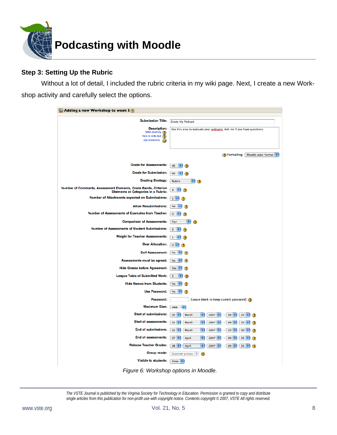

#### **Step 3: Setting Up the Rubric**

 Without a lot of detail, I included the rubric criteria in my wiki page. Next, I create a new Workshop activity and carefully select the options.

| <b>E</b> Adding a new Workshop to week 5 $\odot$                                                               |                                                                                          |
|----------------------------------------------------------------------------------------------------------------|------------------------------------------------------------------------------------------|
| <b>Submission Title:</b>                                                                                       | <b>Grade My Podcast</b>                                                                  |
| <b>Description:</b><br>Write carefully (2)<br>How to write text $\overline{?}$<br>Use emoticons                | Use this area to evaluate your podcasts. Ask me if you have questions.                   |
|                                                                                                                | <b>?</b> Formatting: Moodle auto-format                                                  |
| <b>Grade for Assessments:</b>                                                                                  | 40<br>٠<br>Ð                                                                             |
| <b>Grade for Submission:</b>                                                                                   | 60<br>÷<br>◑                                                                             |
| <b>Grading Strategy:</b>                                                                                       | H<br>Rubric<br>$\circ$                                                                   |
| Number of Comments, Assessment Elements, Grade Bands, Criterion<br><b>Statments or Categories in a Rubric:</b> | H<br>3<br>Q                                                                              |
| <b>Number of Attachments expected on Submissions:</b>                                                          | $1 + \frac{1}{2}$<br>O                                                                   |
| <b>Allow Resubmissions:</b>                                                                                    | <b>No</b><br>÷                                                                           |
| <b>Number of Assessments of Examples from Teacher:</b>                                                         | $\mathbf{0}$<br>÷<br>2                                                                   |
| <b>Comparison of Assessments:</b>                                                                              | Fair<br>٠<br>◉                                                                           |
| <b>Number of Assessments of Student Submissions:</b>                                                           | $3 + 7$<br>Q                                                                             |
| <b>Weight for Teacher Assessments:</b>                                                                         | $\mathbf{1}$<br>÷<br>σ                                                                   |
| <b>Over Allocation:</b>                                                                                        | $0$ $\div$<br>Œ                                                                          |
| <b>Self Assessment:</b>                                                                                        | No<br>₩<br>Q                                                                             |
| Assessments must be agreed:                                                                                    | No<br>÷                                                                                  |
| <b>Hide Grades before Agreement:</b>                                                                           | Yes $\frac{4}{7}$<br>⊙                                                                   |
| <b>League Table of Submitted Work:</b>                                                                         | $\overline{2}$<br>٠<br>Œ                                                                 |
| <b>Hide Names from Students:</b>                                                                               | <b>No</b><br>÷<br>œ                                                                      |
| <b>Use Password:</b>                                                                                           | <b>No</b><br>÷<br>Q                                                                      |
| Password:                                                                                                      | (Leave blank to keep current password) ?                                                 |
| <b>Maximum Size:</b>                                                                                           | 2MB<br>÷                                                                                 |
| <b>Start of submissions:</b>                                                                                   | $30 \div$<br>March<br>÷<br>2007<br>$09$ $\div$<br>$25 \frac{4}{7}$<br>$\circ$            |
| <b>Start of assessments:</b>                                                                                   | $31 \div$<br>March<br>÷<br>2007<br>$09$ $\div$<br>25<br>∩                                |
| <b>End of submissions:</b>                                                                                     | $31 \div$<br>÷<br>2007<br>$20 \div$<br>00<br>March<br>٠<br>⊙                             |
| <b>End of assessments:</b>                                                                                     | ÷<br>$27 \div$<br>2007<br>$09$ :<br>April<br>25<br>⋒<br>÷                                |
| <b>Release Teacher Grades:</b><br><b>Group mode:</b>                                                           | ı,<br>$28 \div$<br>$2007$ $\div$<br>$09$ $\div$<br>April<br>25<br>٠<br>$\left( 2\right)$ |
| <b>Visible to students:</b>                                                                                    | Separate groups $\frac{4}{7}$<br>⊙                                                       |
|                                                                                                                | Show $\div$                                                                              |

*Figure 6: Workshop options in Moodle.*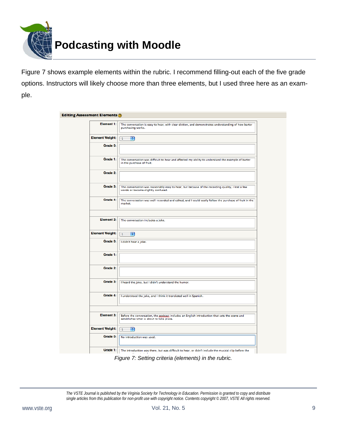

Figure 7 shows example elements within the rubric. I recommend filling-out each of the five grade options. Instructors will likely choose more than three elements, but I used three here as an example.

| Element 1:             | The conversation is easy to hear, with clear diction, and demonstrates understanding of how barter<br>purchasing works.                   |
|------------------------|-------------------------------------------------------------------------------------------------------------------------------------------|
| <b>Element Weight:</b> | $ \div $<br>$\mathbf{1}$                                                                                                                  |
| Grade 0:               |                                                                                                                                           |
| Grade 1:               | The conversation was difficult to hear and affected my ability to understand the example of barter<br>in the purchase of fruit.           |
| Grade 2:               |                                                                                                                                           |
| Grade 3:               | The conversation was reasonably easy to hear, but because of the recording quality, I lost a few<br>words or became slightly confused.    |
| Grade 4:               | The conversation was well-recorded and edited, and I could easily follow the purchase of fruit in the<br>market.                          |
|                        |                                                                                                                                           |
| <b>Element 2:</b>      | The conversation includes a joke.                                                                                                         |
| <b>Element Weight:</b> | $\left  \cdot \right $<br>$\vert$ 1                                                                                                       |
| Grade 0:               | I didn't hear a joke.                                                                                                                     |
| Grade 1:               |                                                                                                                                           |
| Grade 2:               |                                                                                                                                           |
| Grade 3:               | I heard the joke, but I didn't understand the humor.                                                                                      |
| Grade 4:               | I understood the joke, and I think it translated well in Spanish.                                                                         |
|                        |                                                                                                                                           |
| Element 3:             | Before the conversation, the podcast includes an English introduction that sets the scene and<br>establishes what is about to take place. |
| <b>Element Weight:</b> | $\vert$ 1<br>H                                                                                                                            |
| Grade 0:               | No introduction was used.                                                                                                                 |
| Grade 1:               | The introduction was there, but was difficult to hear, or didn't include the musical clip before the                                      |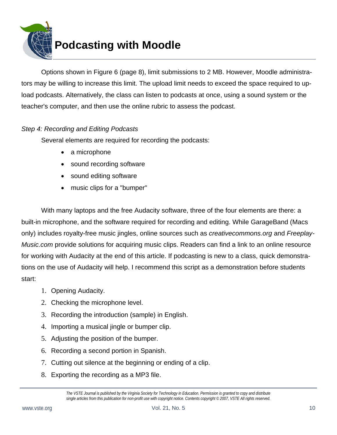

 Options shown in Figure 6 (page 8), limit submissions to 2 MB. However, Moodle administrators may be willing to increase this limit. The upload limit needs to exceed the space required to upload podcasts. Alternatively, the class can listen to podcasts at once, using a sound system or the teacher's computer, and then use the online rubric to assess the podcast.

#### *Step 4: Recording and Editing Podcasts*

Several elements are required for recording the podcasts:

- a microphone
- sound recording software
- sound editing software
- music clips for a "bumper"

 With many laptops and the free Audacity software, three of the four elements are there: a built-in microphone, and the software required for recording and editing. While GarageBand (Macs only) includes royalty-free music jingles, online sources such as *creativecommons.org* and *Freeplay-Music.com* provide solutions for acquiring music clips. Readers can find a link to an online resource for working with Audacity at the end of this article. If podcasting is new to a class, quick demonstrations on the use of Audacity will help. I recommend this script as a demonstration before students start:

- 1. Opening Audacity.
- 2. Checking the microphone level.
- 3. Recording the introduction (sample) in English.
- 4. Importing a musical jingle or bumper clip.
- 5. Adjusting the position of the bumper.
- 6. Recording a second portion in Spanish.
- 7. Cutting out silence at the beginning or ending of a clip.
- 8. Exporting the recording as a MP3 file.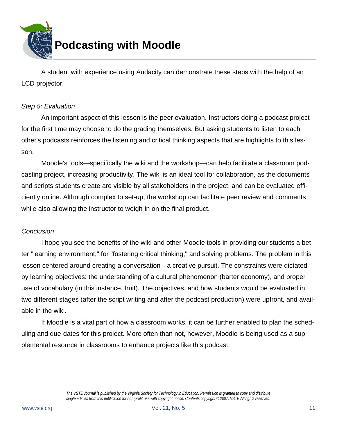

 A student with experience using Audacity can demonstrate these steps with the help of an LCD projector.

#### *Step 5: Evaluation*

 An important aspect of this lesson is the peer evaluation. Instructors doing a podcast project for the first time may choose to do the grading themselves. But asking students to listen to each other's podcasts reinforces the listening and critical thinking aspects that are highlights to this lesson.

 Moodle's tools—specifically the wiki and the workshop—can help facilitate a classroom podcasting project, increasing productivity. The wiki is an ideal tool for collaboration, as the documents and scripts students create are visible by all stakeholders in the project, and can be evaluated efficiently online. Although complex to set-up, the workshop can facilitate peer review and comments while also allowing the instructor to weigh-in on the final product.

#### *Conclusion*

 I hope you see the benefits of the wiki and other Moodle tools in providing our students a better "learning environment," for "fostering critical thinking," and solving problems. The problem in this lesson centered around creating a conversation—a creative pursuit. The constraints were dictated by learning objectives: the understanding of a cultural phenomenon (barter economy), and proper use of vocabulary (in this instance, fruit). The objectives, and how students would be evaluated in two different stages (after the script writing and after the podcast production) were upfront, and available in the wiki.

 If Moodle is a vital part of how a classroom works, it can be further enabled to plan the scheduling and due-dates for this project. More often than not, however, Moodle is being used as a supplemental resource in classrooms to enhance projects like this podcast.

*The VSTE Journal is published by the Virginia Society for Technology in Education. Permission is granted to copy and distribute single articles from this publication for non-profit use with copyright notice. Contents copyright © 2007, VSTE All rights reserved.*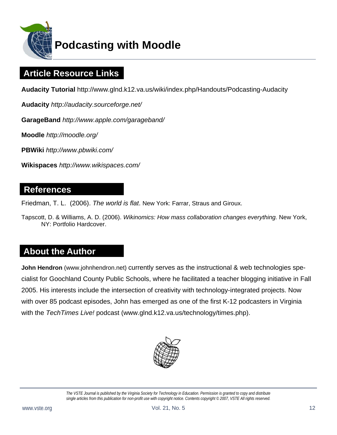

# **Podcasting with Moodle**

# **Article Resource Links**

**Audacity Tutorial** http://www.glnd.k12.va.us/wiki/index.php/Handouts/Podcasting-Audacity

**Audacity** *http://audacity.sourceforge.net/* 

**GarageBand** *http://www.apple.com/garageband/*

**Moodle** *http://moodle.org/*

**PBWiki** *http://www.pbwiki.com/*

**Wikispaces** *http://www.wikispaces.com/*

### **References**

Friedman, T. L. (2006). *The world is flat*. New York: Farrar, Straus and Giroux.

Tapscott, D. & Williams, A. D. (2006). *Wikinomics: How mass collaboration changes everything.* New York, NY: Portfolio Hardcover.

## **About the Author**

**John Hendron** (www.johnhendron.net) currently serves as the instructional & web technologies specialist for Goochland County Public Schools, where he facilitated a teacher blogging initiative in Fall 2005. His interests include the intersection of creativity with technology-integrated projects. Now with over 85 podcast episodes, John has emerged as one of the first K-12 podcasters in Virginia with the *TechTimes Live!* podcast (www.glnd.k12.va.us/technology/times.php).